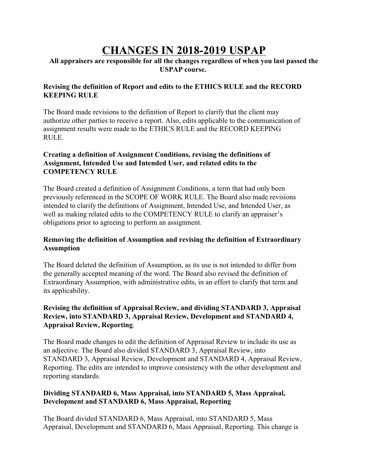# **CHANGES IN 2018-2019 USPAP**

## **All appraisers are responsible for all the changes regardless of when you last passed the USPAP course.**

## **Revising the definition of Report and edits to the ETHICS RULE and the RECORD KEEPING RULE**

The Board made revisions to the definition of Report to clarify that the client may authorize other parties to receive a report. Also, edits applicable to the communication of assignment results were made to the ETHICS RULE and the RECORD KEEPING RULE.

## **Creating a definition of Assignment Conditions, revising the definitions of Assignment, Intended Use and Intended User, and related edits to the COMPETENCY RULE**

The Board created a definition of Assignment Conditions, a term that had only been previously referenced in the SCOPE OF WORK RULE. The Board also made revisions intended to clarify the definitions of Assignment, Intended Use, and Intended User, as well as making related edits to the COMPETENCY RULE to clarify an appraiser's obligations prior to agreeing to perform an assignment.

## **Removing the definition of Assumption and revising the definition of Extraordinary Assumption**

The Board deleted the definition of Assumption, as its use is not intended to differ from the generally accepted meaning of the word. The Board also revised the definition of Extraordinary Assumption, with administrative edits, in an effort to clarify that term and its applicability.

# **Revising the definition of Appraisal Review, and dividing STANDARD 3, Appraisal Review, into STANDARD 3, Appraisal Review, Development and STANDARD 4, Appraisal Review, Reporting**.

The Board made changes to edit the definition of Appraisal Review to include its use as an adjective. The Board also divided STANDARD 3, Appraisal Review, into STANDARD 3, Appraisal Review, Development and STANDARD 4, Appraisal Review, Reporting. The edits are intended to improve consistency with the other development and reporting standards.

# **Dividing STANDARD 6, Mass Appraisal, into STANDARD 5, Mass Appraisal, Development and STANDARD 6, Mass Appraisal, Reporting**

The Board divided STANDARD 6, Mass Appraisal, into STANDARD 5, Mass Appraisal, Development and STANDARD 6, Mass Appraisal, Reporting. This change is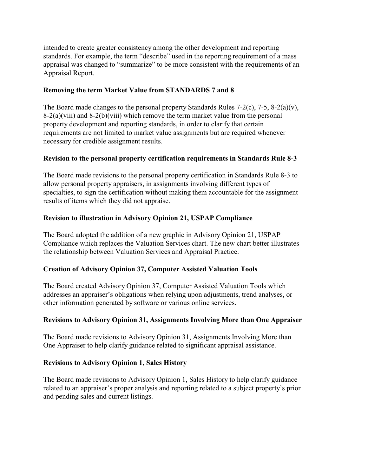intended to create greater consistency among the other development and reporting standards. For example, the term "describe" used in the reporting requirement of a mass appraisal was changed to "summarize" to be more consistent with the requirements of an Appraisal Report.

#### **Removing the term Market Value from STANDARDS 7 and 8**

The Board made changes to the personal property Standards Rules 7-2(c), 7-5, 8-2(a)(v),  $8-2(a)$ (viii) and  $8-2(b)$ (viii) which remove the term market value from the personal property development and reporting standards, in order to clarify that certain requirements are not limited to market value assignments but are required whenever necessary for credible assignment results.

#### **Revision to the personal property certification requirements in Standards Rule 8-3**

The Board made revisions to the personal property certification in Standards Rule 8-3 to allow personal property appraisers, in assignments involving different types of specialties, to sign the certification without making them accountable for the assignment results of items which they did not appraise.

## **Revision to illustration in Advisory Opinion 21, USPAP Compliance**

The Board adopted the addition of a new graphic in Advisory Opinion 21, USPAP Compliance which replaces the Valuation Services chart. The new chart better illustrates the relationship between Valuation Services and Appraisal Practice.

#### **Creation of Advisory Opinion 37, Computer Assisted Valuation Tools**

The Board created Advisory Opinion 37, Computer Assisted Valuation Tools which addresses an appraiser's obligations when relying upon adjustments, trend analyses, or other information generated by software or various online services.

#### **Revisions to Advisory Opinion 31, Assignments Involving More than One Appraiser**

The Board made revisions to Advisory Opinion 31, Assignments Involving More than One Appraiser to help clarify guidance related to significant appraisal assistance.

#### **Revisions to Advisory Opinion 1, Sales History**

The Board made revisions to Advisory Opinion 1, Sales History to help clarify guidance related to an appraiser's proper analysis and reporting related to a subject property's prior and pending sales and current listings.